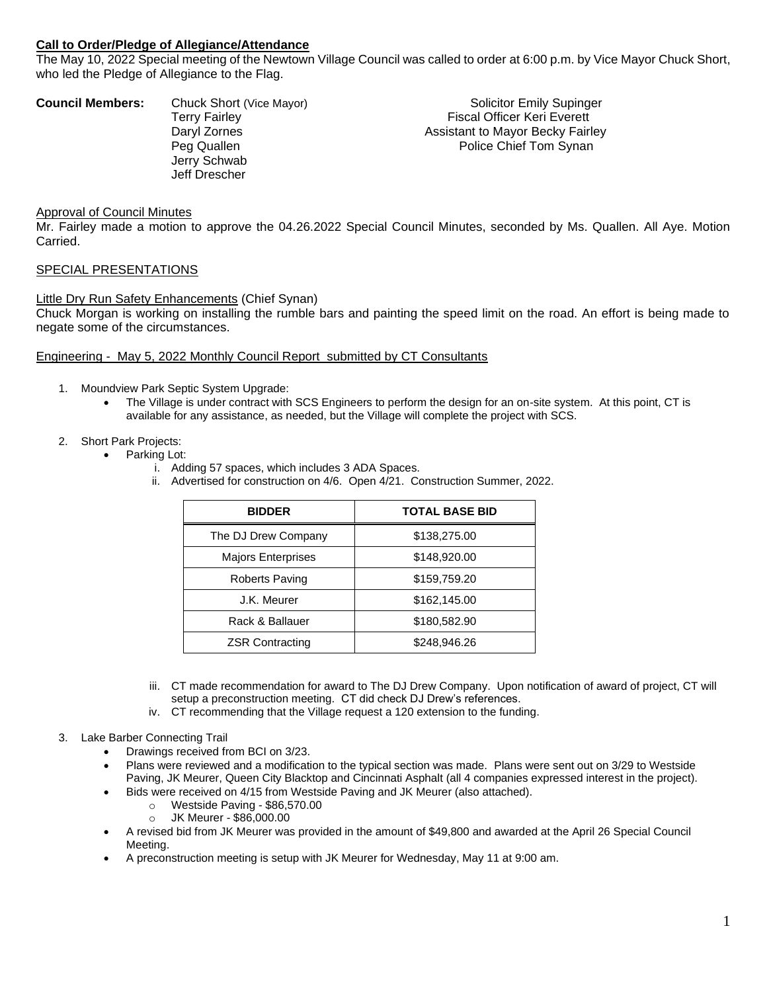# **Call to Order/Pledge of Allegiance/Attendance**

The May 10, 2022 Special meeting of the Newtown Village Council was called to order at 6:00 p.m. by Vice Mayor Chuck Short, who led the Pledge of Allegiance to the Flag.

| <b>Council Members:</b> | Chuck Short (Vice Mayor) | <b>Solicitor Emily Supinger</b>    |
|-------------------------|--------------------------|------------------------------------|
|                         | <b>Terry Fairley</b>     | <b>Fiscal Officer Keri Everett</b> |
|                         | Daryl Zornes             | Assistant to Mayor Becky Fairley   |
|                         | Peg Quallen              | Police Chief Tom Synan             |
|                         | Jerry Schwab             |                                    |
|                         | Jeff Drescher            |                                    |
|                         |                          |                                    |

#### Approval of Council Minutes

Mr. Fairley made a motion to approve the 04.26.2022 Special Council Minutes, seconded by Ms. Quallen. All Aye. Motion Carried.

#### SPECIAL PRESENTATIONS

#### Little Dry Run Safety Enhancements (Chief Synan)

Chuck Morgan is working on installing the rumble bars and painting the speed limit on the road. An effort is being made to negate some of the circumstances.

#### Engineering - May 5, 2022 Monthly Council Report submitted by CT Consultants

- 1. Moundview Park Septic System Upgrade:
	- The Village is under contract with SCS Engineers to perform the design for an on-site system. At this point, CT is available for any assistance, as needed, but the Village will complete the project with SCS.
- 2. Short Park Projects:
	- Parking Lot:
		- i. Adding 57 spaces, which includes 3 ADA Spaces.
		- ii. Advertised for construction on 4/6. Open 4/21. Construction Summer, 2022.

| <b>BIDDER</b>             | <b>TOTAL BASE BID</b> |
|---------------------------|-----------------------|
| The DJ Drew Company       | \$138,275.00          |
| <b>Majors Enterprises</b> | \$148,920.00          |
| Roberts Paving            | \$159,759.20          |
| J.K. Meurer               | \$162,145.00          |
| Rack & Ballauer           | \$180,582.90          |
| <b>ZSR Contracting</b>    | \$248,946.26          |

- iii. CT made recommendation for award to The DJ Drew Company. Upon notification of award of project, CT will setup a preconstruction meeting. CT did check DJ Drew's references.
- iv. CT recommending that the Village request a 120 extension to the funding.
- 3. Lake Barber Connecting Trail
	- Drawings received from BCI on 3/23.
	- Plans were reviewed and a modification to the typical section was made. Plans were sent out on 3/29 to Westside Paving, JK Meurer, Queen City Blacktop and Cincinnati Asphalt (all 4 companies expressed interest in the project).
	- Bids were received on 4/15 from Westside Paving and JK Meurer (also attached).
		- o Westside Paving \$86,570.00
		- o JK Meurer \$86,000.00
	- A revised bid from JK Meurer was provided in the amount of \$49,800 and awarded at the April 26 Special Council Meeting.
	- A preconstruction meeting is setup with JK Meurer for Wednesday, May 11 at 9:00 am.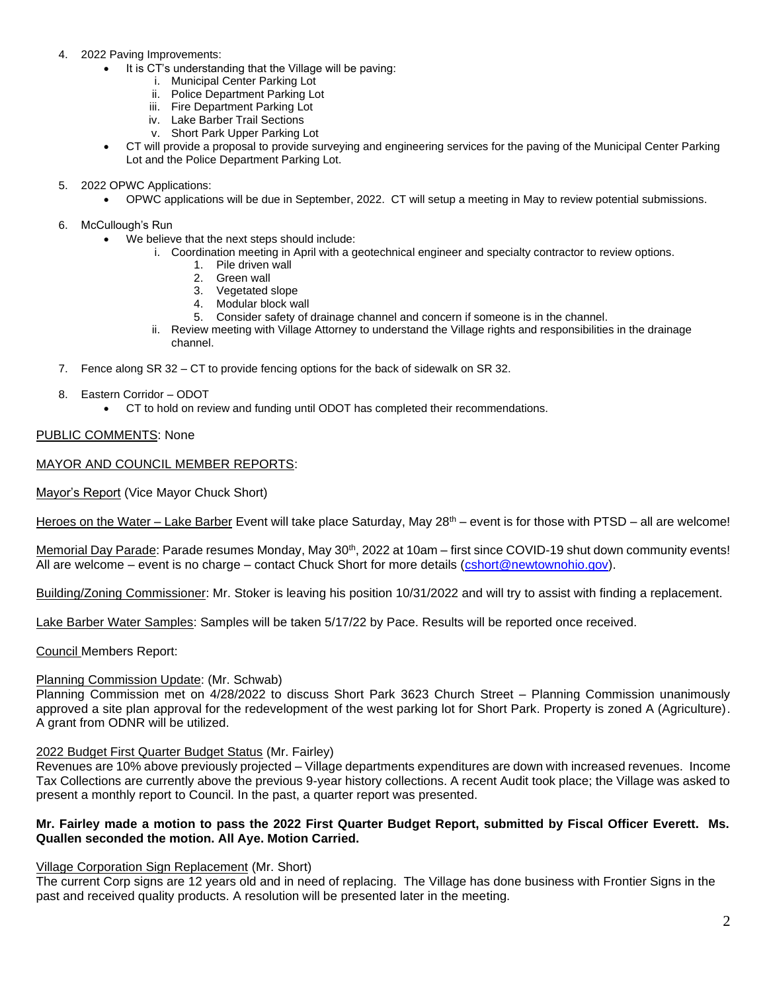- 4. 2022 Paving Improvements:
	- It is CT's understanding that the Village will be paving:
		- i. Municipal Center Parking Lot
		- ii. Police Department Parking Lot
		- iii. Fire Department Parking Lot
		- iv. Lake Barber Trail Sections
		- v. Short Park Upper Parking Lot
	- CT will provide a proposal to provide surveying and engineering services for the paving of the Municipal Center Parking Lot and the Police Department Parking Lot.
- 5. 2022 OPWC Applications:
	- OPWC applications will be due in September, 2022. CT will setup a meeting in May to review potential submissions.

6. McCullough's Run

- We believe that the next steps should include:
	- i. Coordination meeting in April with a geotechnical engineer and specialty contractor to review options.
		- 1. Pile driven wall
		- 2. Green wall
		- 3. Vegetated slope
		- 4. Modular block wall
		- 5. Consider safety of drainage channel and concern if someone is in the channel.
	- ii. Review meeting with Village Attorney to understand the Village rights and responsibilities in the drainage channel.
- 7. Fence along SR 32 CT to provide fencing options for the back of sidewalk on SR 32.
- 8. Eastern Corridor ODOT
	- CT to hold on review and funding until ODOT has completed their recommendations.

# PUBLIC COMMENTS: None

# MAYOR AND COUNCIL MEMBER REPORTS:

Mayor's Report (Vice Mayor Chuck Short)

Heroes on the Water – Lake Barber Event will take place Saturday, May  $28<sup>th</sup>$  – event is for those with PTSD – all are welcome!

Memorial Day Parade: Parade resumes Monday, May 30<sup>th</sup>, 2022 at 10am – first since COVID-19 shut down community events! All are welcome – event is no charge – contact Chuck Short for more details [\(cshort@newtownohio.gov\)](mailto:cshort@newtownohio.gov).

Building/Zoning Commissioner: Mr. Stoker is leaving his position 10/31/2022 and will try to assist with finding a replacement.

Lake Barber Water Samples: Samples will be taken 5/17/22 by Pace. Results will be reported once received.

Council Members Report:

# Planning Commission Update: (Mr. Schwab)

Planning Commission met on 4/28/2022 to discuss Short Park 3623 Church Street – Planning Commission unanimously approved a site plan approval for the redevelopment of the west parking lot for Short Park. Property is zoned A (Agriculture). A grant from ODNR will be utilized.

# 2022 Budget First Quarter Budget Status (Mr. Fairley)

Revenues are 10% above previously projected – Village departments expenditures are down with increased revenues. Income Tax Collections are currently above the previous 9-year history collections. A recent Audit took place; the Village was asked to present a monthly report to Council. In the past, a quarter report was presented.

# **Mr. Fairley made a motion to pass the 2022 First Quarter Budget Report, submitted by Fiscal Officer Everett. Ms. Quallen seconded the motion. All Aye. Motion Carried.**

# Village Corporation Sign Replacement (Mr. Short)

The current Corp signs are 12 years old and in need of replacing. The Village has done business with Frontier Signs in the past and received quality products. A resolution will be presented later in the meeting.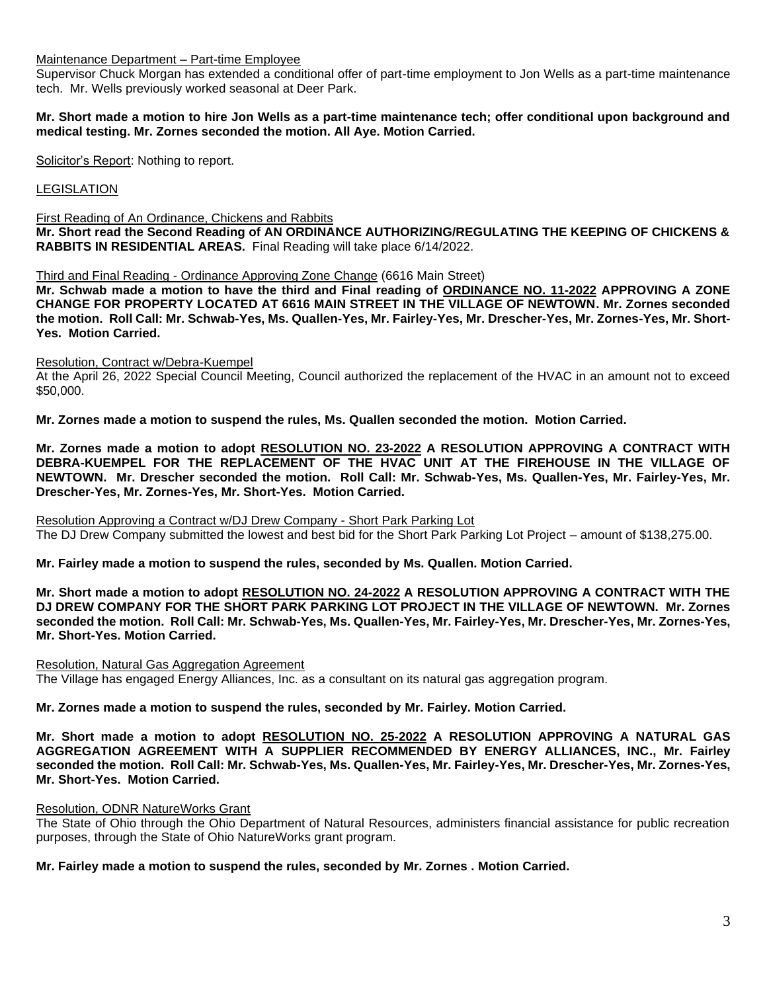Maintenance Department – Part-time Employee

Supervisor Chuck Morgan has extended a conditional offer of part-time employment to Jon Wells as a part-time maintenance tech. Mr. Wells previously worked seasonal at Deer Park.

# **Mr. Short made a motion to hire Jon Wells as a part-time maintenance tech; offer conditional upon background and medical testing. Mr. Zornes seconded the motion. All Aye. Motion Carried.**

Solicitor's Report: Nothing to report.

**LEGISLATION** 

First Reading of An Ordinance, Chickens and Rabbits

**Mr. Short read the Second Reading of AN ORDINANCE AUTHORIZING/REGULATING THE KEEPING OF CHICKENS & RABBITS IN RESIDENTIAL AREAS.** Final Reading will take place 6/14/2022.

Third and Final Reading - Ordinance Approving Zone Change (6616 Main Street)

**Mr. Schwab made a motion to have the third and Final reading of ORDINANCE NO. 11-2022 APPROVING A ZONE CHANGE FOR PROPERTY LOCATED AT 6616 MAIN STREET IN THE VILLAGE OF NEWTOWN. Mr. Zornes seconded the motion. Roll Call: Mr. Schwab-Yes, Ms. Quallen-Yes, Mr. Fairley-Yes, Mr. Drescher-Yes, Mr. Zornes-Yes, Mr. Short-Yes. Motion Carried.**

# Resolution, Contract w/Debra-Kuempel

At the April 26, 2022 Special Council Meeting, Council authorized the replacement of the HVAC in an amount not to exceed \$50,000.

**Mr. Zornes made a motion to suspend the rules, Ms. Quallen seconded the motion. Motion Carried.**

**Mr. Zornes made a motion to adopt RESOLUTION NO. 23-2022 A RESOLUTION APPROVING A CONTRACT WITH DEBRA-KUEMPEL FOR THE REPLACEMENT OF THE HVAC UNIT AT THE FIREHOUSE IN THE VILLAGE OF NEWTOWN. Mr. Drescher seconded the motion. Roll Call: Mr. Schwab-Yes, Ms. Quallen-Yes, Mr. Fairley-Yes, Mr. Drescher-Yes, Mr. Zornes-Yes, Mr. Short-Yes. Motion Carried.**

Resolution Approving a Contract w/DJ Drew Company - Short Park Parking Lot The DJ Drew Company submitted the lowest and best bid for the Short Park Parking Lot Project – amount of \$138,275.00.

**Mr. Fairley made a motion to suspend the rules, seconded by Ms. Quallen. Motion Carried.**

**Mr. Short made a motion to adopt RESOLUTION NO. 24-2022 A RESOLUTION APPROVING A CONTRACT WITH THE DJ DREW COMPANY FOR THE SHORT PARK PARKING LOT PROJECT IN THE VILLAGE OF NEWTOWN. Mr. Zornes seconded the motion. Roll Call: Mr. Schwab-Yes, Ms. Quallen-Yes, Mr. Fairley-Yes, Mr. Drescher-Yes, Mr. Zornes-Yes, Mr. Short-Yes. Motion Carried.**

# Resolution, Natural Gas Aggregation Agreement

The Village has engaged Energy Alliances, Inc. as a consultant on its natural gas aggregation program.

# **Mr. Zornes made a motion to suspend the rules, seconded by Mr. Fairley. Motion Carried.**

**Mr. Short made a motion to adopt RESOLUTION NO. 25-2022 A RESOLUTION APPROVING A NATURAL GAS AGGREGATION AGREEMENT WITH A SUPPLIER RECOMMENDED BY ENERGY ALLIANCES, INC., Mr. Fairley seconded the motion. Roll Call: Mr. Schwab-Yes, Ms. Quallen-Yes, Mr. Fairley-Yes, Mr. Drescher-Yes, Mr. Zornes-Yes, Mr. Short-Yes. Motion Carried.**

# Resolution, ODNR NatureWorks Grant

The State of Ohio through the Ohio Department of Natural Resources, administers financial assistance for public recreation purposes, through the State of Ohio NatureWorks grant program.

**Mr. Fairley made a motion to suspend the rules, seconded by Mr. Zornes . Motion Carried.**